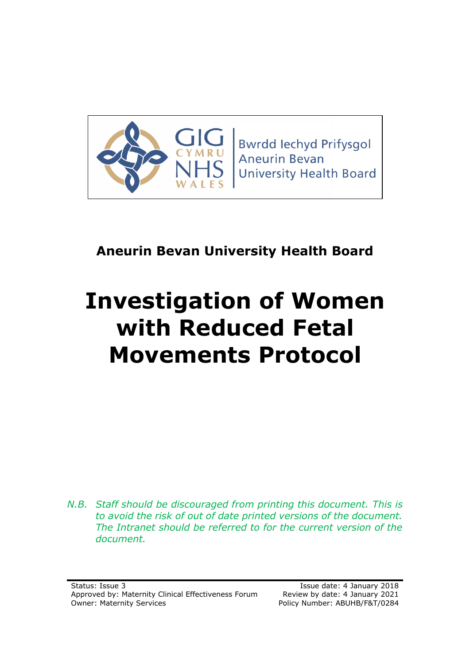

**Bwrdd lechyd Prifysgol Aneurin Bevan University Health Board** 

# **Aneurin Bevan University Health Board**

# **Investigation of Women with Reduced Fetal Movements Protocol**

*N.B. Staff should be discouraged from printing this document. This is to avoid the risk of out of date printed versions of the document. The Intranet should be referred to for the current version of the document.*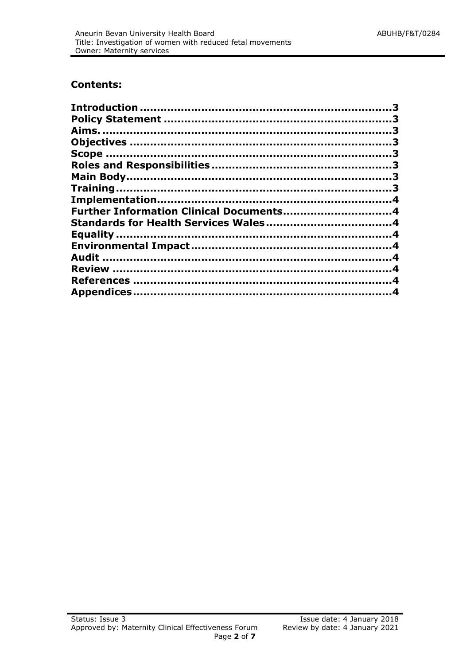#### **Contents:**

| Further Information Clinical Documents4 |  |
|-----------------------------------------|--|
|                                         |  |
|                                         |  |
|                                         |  |
|                                         |  |
|                                         |  |
|                                         |  |
|                                         |  |
|                                         |  |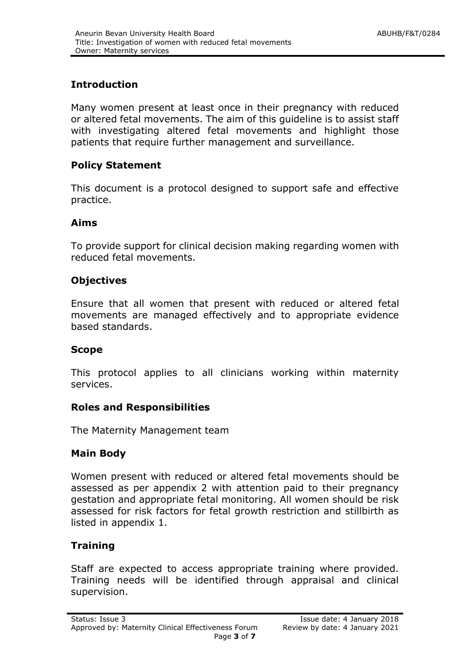# <span id="page-2-0"></span>**Introduction**

Many women present at least once in their pregnancy with reduced or altered fetal movements. The aim of this guideline is to assist staff with investigating altered fetal movements and highlight those patients that require further management and surveillance.

# <span id="page-2-1"></span>**Policy Statement**

This document is a protocol designed to support safe and effective practice.

# <span id="page-2-2"></span>**Aims**

To provide support for clinical decision making regarding women with reduced fetal movements.

# <span id="page-2-3"></span>**Objectives**

Ensure that all women that present with reduced or altered fetal movements are managed effectively and to appropriate evidence based standards.

# <span id="page-2-4"></span>**Scope**

This protocol applies to all clinicians working within maternity services.

# <span id="page-2-5"></span>**Roles and Responsibilities**

The Maternity Management team

# <span id="page-2-6"></span>**Main Body**

Women present with reduced or altered fetal movements should be assessed as per appendix 2 with attention paid to their pregnancy gestation and appropriate fetal monitoring. All women should be risk assessed for risk factors for fetal growth restriction and stillbirth as listed in appendix 1.

# <span id="page-2-7"></span>**Training**

Staff are expected to access appropriate training where provided. Training needs will be identified through appraisal and clinical supervision.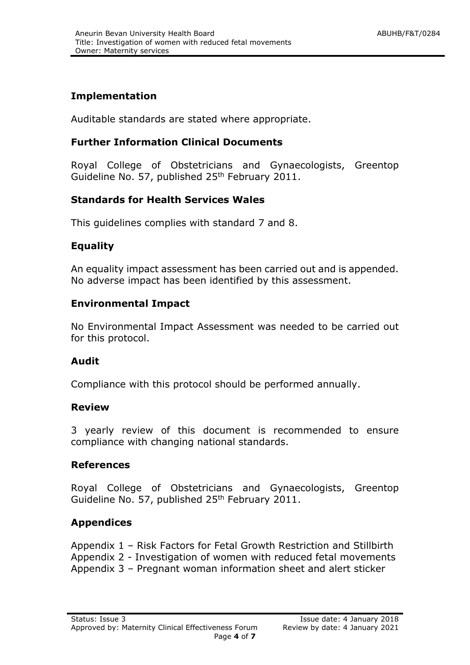# <span id="page-3-0"></span>**Implementation**

Auditable standards are stated where appropriate.

# <span id="page-3-1"></span>**Further Information Clinical Documents**

Royal College of Obstetricians and Gynaecologists, Greentop Guideline No. 57, published 25<sup>th</sup> February 2011.

# <span id="page-3-2"></span>**Standards for Health Services Wales**

This guidelines complies with standard 7 and 8.

# <span id="page-3-3"></span>**Equality**

An equality impact assessment has been carried out and is appended. No adverse impact has been identified by this assessment.

# <span id="page-3-4"></span>**Environmental Impact**

No Environmental Impact Assessment was needed to be carried out for this protocol.

# <span id="page-3-5"></span>**Audit**

Compliance with this protocol should be performed annually.

# <span id="page-3-6"></span>**Review**

3 yearly review of this document is recommended to ensure compliance with changing national standards.

# <span id="page-3-7"></span>**References**

Royal College of Obstetricians and Gynaecologists, Greentop Guideline No. 57, published 25<sup>th</sup> February 2011.

# <span id="page-3-8"></span>**Appendices**

Appendix 1 – Risk Factors for Fetal Growth Restriction and Stillbirth Appendix 2 - Investigation of women with reduced fetal movements Appendix 3 – Pregnant woman information sheet and alert sticker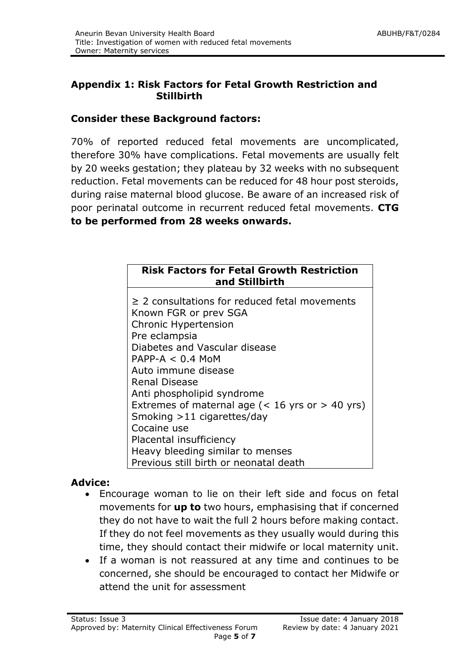# **Appendix 1: Risk Factors for Fetal Growth Restriction and Stillbirth**

# **Consider these Background factors:**

70% of reported reduced fetal movements are uncomplicated, therefore 30% have complications. Fetal movements are usually felt by 20 weeks gestation; they plateau by 32 weeks with no subsequent reduction. Fetal movements can be reduced for 48 hour post steroids, during raise maternal blood glucose. Be aware of an increased risk of poor perinatal outcome in recurrent reduced fetal movements. **CTG to be performed from 28 weeks onwards.**

| <b>Risk Factors for Fetal Growth Restriction</b><br>and Stillbirth                                                                                           |  |
|--------------------------------------------------------------------------------------------------------------------------------------------------------------|--|
| $\geq$ 2 consultations for reduced fetal movements<br>Known FGR or prev SGA<br><b>Chronic Hypertension</b><br>Pre eclampsia<br>Diabetes and Vascular disease |  |
| $PAPP-A < 0.4$ MoM<br>Auto immune disease<br>Renal Disease                                                                                                   |  |
| Anti phospholipid syndrome<br>Extremes of maternal age ( $<$ 16 yrs or $>$ 40 yrs)                                                                           |  |
| Smoking $>11$ cigarettes/day<br>Cocaine use<br>Placental insufficiency                                                                                       |  |
| Heavy bleeding similar to menses<br>Previous still birth or neonatal death                                                                                   |  |

# **Advice:**

- Encourage woman to lie on their left side and focus on fetal movements for **up to** two hours, emphasising that if concerned they do not have to wait the full 2 hours before making contact. If they do not feel movements as they usually would during this time, they should contact their midwife or local maternity unit.
- If a woman is not reassured at any time and continues to be concerned, she should be encouraged to contact her Midwife or attend the unit for assessment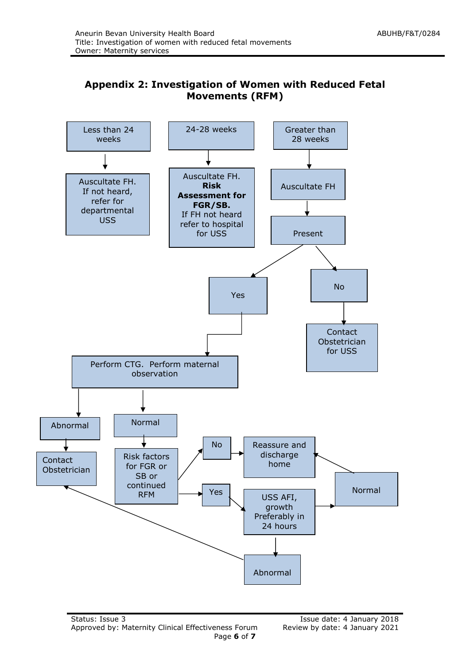# **Appendix 2: Investigation of Women with Reduced Fetal Movements (RFM)**